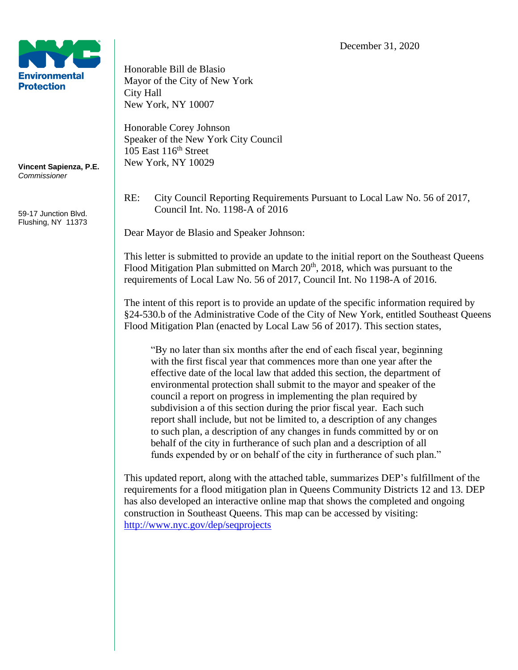

**Vincent Sapienza, P.E.** *Commissioner*

59-17 Junction Blvd. Flushing, NY 11373 Honorable Bill de Blasio Mayor of the City of New York City Hall New York, NY 10007

Honorable Corey Johnson Speaker of the New York City Council  $105$  East  $116<sup>th</sup>$  Street New York, NY 10029

RE: City Council Reporting Requirements Pursuant to Local Law No. 56 of 2017, Council Int. No. 1198-A of 2016

Dear Mayor de Blasio and Speaker Johnson:

This letter is submitted to provide an update to the initial report on the Southeast Queens Flood Mitigation Plan submitted on March  $20<sup>th</sup>$ ,  $2018$ , which was pursuant to the requirements of Local Law No. 56 of 2017, Council Int. No 1198-A of 2016.

The intent of this report is to provide an update of the specific information required by §24-530.b of the Administrative Code of the City of New York, entitled Southeast Queens Flood Mitigation Plan (enacted by Local Law 56 of 2017). This section states,

"By no later than six months after the end of each fiscal year, beginning with the first fiscal year that commences more than one year after the effective date of the local law that added this section, the department of environmental protection shall submit to the mayor and speaker of the council a report on progress in implementing the plan required by subdivision a of this section during the prior fiscal year. Each such report shall include, but not be limited to, a description of any changes to such plan, a description of any changes in funds committed by or on behalf of the city in furtherance of such plan and a description of all funds expended by or on behalf of the city in furtherance of such plan."

This updated report, along with the attached table, summarizes DEP's fulfillment of the requirements for a flood mitigation plan in Queens Community Districts 12 and 13. DEP has also developed an interactive online map that shows the completed and ongoing construction in Southeast Queens. This map can be accessed by visiting: <http://www.nyc.gov/dep/seqprojects>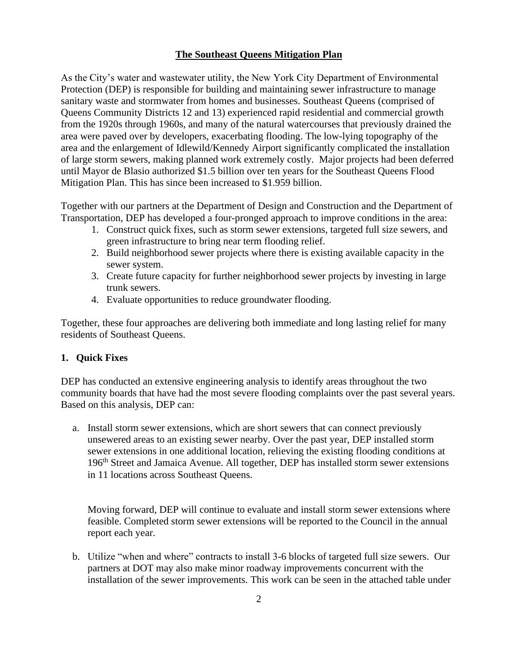# **The Southeast Queens Mitigation Plan**

As the City's water and wastewater utility, the New York City Department of Environmental Protection (DEP) is responsible for building and maintaining sewer infrastructure to manage sanitary waste and stormwater from homes and businesses. Southeast Queens (comprised of Queens Community Districts 12 and 13) experienced rapid residential and commercial growth from the 1920s through 1960s, and many of the natural watercourses that previously drained the area were paved over by developers, exacerbating flooding. The low-lying topography of the area and the enlargement of Idlewild/Kennedy Airport significantly complicated the installation of large storm sewers, making planned work extremely costly. Major projects had been deferred until Mayor de Blasio authorized \$1.5 billion over ten years for the Southeast Queens Flood Mitigation Plan. This has since been increased to \$1.959 billion.

Together with our partners at the Department of Design and Construction and the Department of Transportation, DEP has developed a four-pronged approach to improve conditions in the area:

- 1. Construct quick fixes, such as storm sewer extensions, targeted full size sewers, and green infrastructure to bring near term flooding relief.
- 2. Build neighborhood sewer projects where there is existing available capacity in the sewer system.
- 3. Create future capacity for further neighborhood sewer projects by investing in large trunk sewers.
- 4. Evaluate opportunities to reduce groundwater flooding.

Together, these four approaches are delivering both immediate and long lasting relief for many residents of Southeast Queens.

# **1. Quick Fixes**

DEP has conducted an extensive engineering analysis to identify areas throughout the two community boards that have had the most severe flooding complaints over the past several years. Based on this analysis, DEP can:

a. Install storm sewer extensions, which are short sewers that can connect previously unsewered areas to an existing sewer nearby. Over the past year, DEP installed storm sewer extensions in one additional location, relieving the existing flooding conditions at 196<sup>th</sup> Street and Jamaica Avenue. All together, DEP has installed storm sewer extensions in 11 locations across Southeast Queens.

Moving forward, DEP will continue to evaluate and install storm sewer extensions where feasible. Completed storm sewer extensions will be reported to the Council in the annual report each year.

b. Utilize "when and where" contracts to install 3-6 blocks of targeted full size sewers. Our partners at DOT may also make minor roadway improvements concurrent with the installation of the sewer improvements. This work can be seen in the attached table under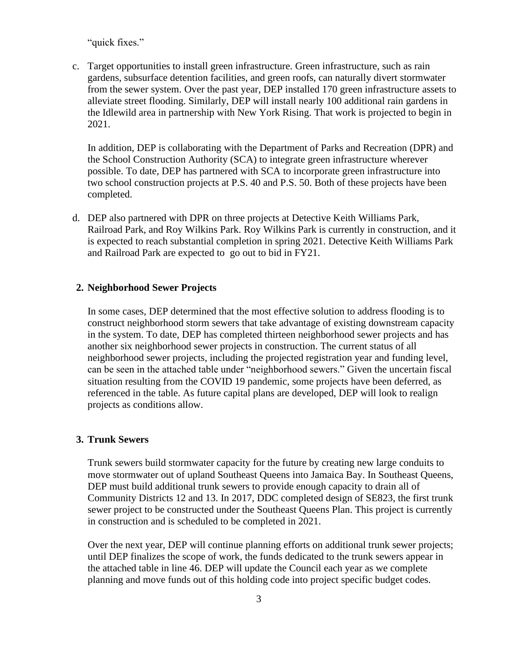"quick fixes."

c. Target opportunities to install green infrastructure. Green infrastructure, such as rain gardens, subsurface detention facilities, and green roofs, can naturally divert stormwater from the sewer system. Over the past year, DEP installed 170 green infrastructure assets to alleviate street flooding. Similarly, DEP will install nearly 100 additional rain gardens in the Idlewild area in partnership with New York Rising. That work is projected to begin in 2021.

In addition, DEP is collaborating with the Department of Parks and Recreation (DPR) and the School Construction Authority (SCA) to integrate green infrastructure wherever possible. To date, DEP has partnered with SCA to incorporate green infrastructure into two school construction projects at P.S. 40 and P.S. 50. Both of these projects have been completed.

d. DEP also partnered with DPR on three projects at Detective Keith Williams Park, Railroad Park, and Roy Wilkins Park. Roy Wilkins Park is currently in construction, and it is expected to reach substantial completion in spring 2021. Detective Keith Williams Park and Railroad Park are expected to go out to bid in FY21.

# **2. Neighborhood Sewer Projects**

In some cases, DEP determined that the most effective solution to address flooding is to construct neighborhood storm sewers that take advantage of existing downstream capacity in the system. To date, DEP has completed thirteen neighborhood sewer projects and has another six neighborhood sewer projects in construction. The current status of all neighborhood sewer projects, including the projected registration year and funding level, can be seen in the attached table under "neighborhood sewers." Given the uncertain fiscal situation resulting from the COVID 19 pandemic, some projects have been deferred, as referenced in the table. As future capital plans are developed, DEP will look to realign projects as conditions allow.

# **3. Trunk Sewers**

Trunk sewers build stormwater capacity for the future by creating new large conduits to move stormwater out of upland Southeast Queens into Jamaica Bay. In Southeast Queens, DEP must build additional trunk sewers to provide enough capacity to drain all of Community Districts 12 and 13. In 2017, DDC completed design of SE823, the first trunk sewer project to be constructed under the Southeast Queens Plan. This project is currently in construction and is scheduled to be completed in 2021.

Over the next year, DEP will continue planning efforts on additional trunk sewer projects; until DEP finalizes the scope of work, the funds dedicated to the trunk sewers appear in the attached table in line 46. DEP will update the Council each year as we complete planning and move funds out of this holding code into project specific budget codes.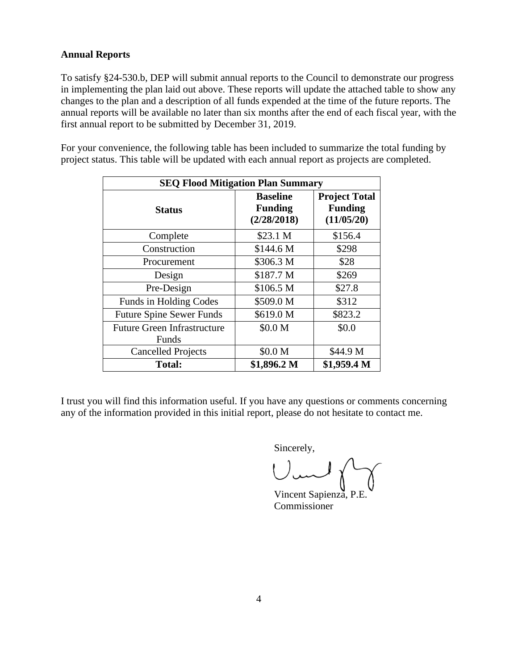# **Annual Reports**

To satisfy §24-530.b, DEP will submit annual reports to the Council to demonstrate our progress in implementing the plan laid out above. These reports will update the attached table to show any changes to the plan and a description of all funds expended at the time of the future reports. The annual reports will be available no later than six months after the end of each fiscal year, with the first annual report to be submitted by December 31, 2019.

For your convenience, the following table has been included to summarize the total funding by project status. This table will be updated with each annual report as projects are completed.

| <b>SEQ Flood Mitigation Plan Summary</b>    |                                                  |                                                      |  |  |  |
|---------------------------------------------|--------------------------------------------------|------------------------------------------------------|--|--|--|
| <b>Status</b>                               | <b>Baseline</b><br><b>Funding</b><br>(2/28/2018) | <b>Project Total</b><br><b>Funding</b><br>(11/05/20) |  |  |  |
| Complete                                    | \$23.1 M                                         | \$156.4                                              |  |  |  |
| Construction                                | \$144.6 M                                        | \$298                                                |  |  |  |
| Procurement                                 | \$306.3 M                                        | \$28                                                 |  |  |  |
| Design                                      | \$187.7 M                                        | \$269                                                |  |  |  |
| Pre-Design                                  | \$106.5 M                                        | \$27.8                                               |  |  |  |
| Funds in Holding Codes                      | \$509.0 M                                        | \$312                                                |  |  |  |
| <b>Future Spine Sewer Funds</b>             | \$619.0 M                                        | \$823.2                                              |  |  |  |
| <b>Future Green Infrastructure</b><br>Funds | \$0.0 M                                          | \$0.0                                                |  |  |  |
| <b>Cancelled Projects</b>                   | \$0.0 M                                          | \$44.9 M                                             |  |  |  |
| <b>Total:</b>                               | \$1,896.2 M                                      | \$1,959.4 M                                          |  |  |  |

I trust you will find this information useful. If you have any questions or comments concerning any of the information provided in this initial report, please do not hesitate to contact me.

Sincerely,

Vincent Sapienza, P.E. Commissioner